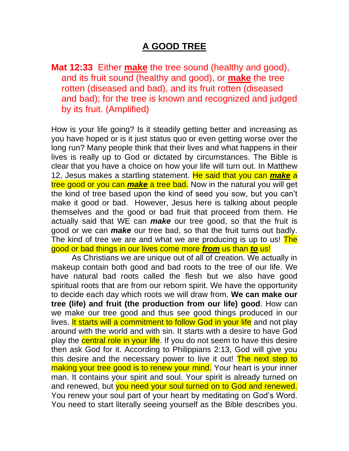## **A GOOD TREE**

**Mat 12:33** Either **make** the tree sound (healthy and good), and its fruit sound (healthy and good), or **make** the tree rotten (diseased and bad), and its fruit rotten (diseased and bad); for the tree is known and recognized and judged by its fruit. (Amplified)

How is your life going? Is it steadily getting better and increasing as you have hoped or is it just status quo or even getting worse over the long run? Many people think that their lives and what happens in their lives is really up to God or dictated by circumstances. The Bible is clear that you have a choice on how your life will turn out. In Matthew 12, Jesus makes a startling statement. He said that you can *make* a tree good or you can *make* a tree bad. Now in the natural you will get the kind of tree based upon the kind of seed you sow, but you can't make it good or bad. However, Jesus here is talking about people themselves and the good or bad fruit that proceed from them. He actually said that WE can *make* our tree good, so that the fruit is good or we can *make* our tree bad, so that the fruit turns out badly. The kind of tree we are and what we are producing is up to us! The good or bad things in our lives come more *from* us than *to* us!

As Christians we are unique out of all of creation. We actually in makeup contain both good and bad roots to the tree of our life. We have natural bad roots called the flesh but we also have good spiritual roots that are from our reborn spirit. We have the opportunity to decide each day which roots we will draw from. **We can make our tree (life) and fruit (the production from our life) good**. How can we make our tree good and thus see good things produced in our lives. It starts will a commitment to follow God in your life and not play around with the world and with sin. It starts with a desire to have God play the central role in your life. If you do not seem to have this desire then ask God for it. According to Philippians 2:13, God will give you this desire and the necessary power to live it out! The next step to making your tree good is to renew your mind. Your heart is your inner man. It contains your spirit and soul. Your spirit is already turned on and renewed, but you need your soul turned on to God and renewed. You renew your soul part of your heart by meditating on God's Word. You need to start literally seeing yourself as the Bible describes you.